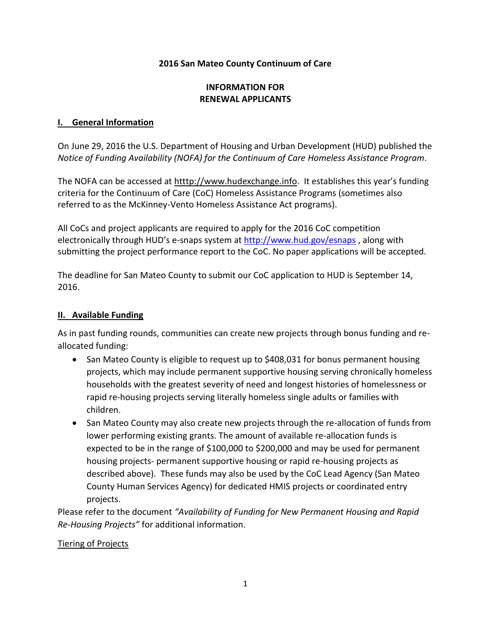### **2016 San Mateo County Continuum of Care**

# **INFORMATION FOR RENEWAL APPLICANTS**

#### **I. General Information**

On June 29, 2016 the U.S. Department of Housing and Urban Development (HUD) published the *Notice of Funding Availability (NOFA) for the Continuum of Care Homeless Assistance Program*.

The NOFA can be accessed at htttp://www.hudexchange.info. It establishes this year's funding criteria for the Continuum of Care (CoC) Homeless Assistance Programs (sometimes also referred to as the McKinney-Vento Homeless Assistance Act programs).

All CoCs and project applicants are required to apply for the 2016 CoC competition electronically through HUD's e-snaps system at<http://www.hud.gov/esnaps> , along with submitting the project performance report to the CoC. No paper applications will be accepted.

The deadline for San Mateo County to submit our CoC application to HUD is September 14, 2016.

### **II. Available Funding**

As in past funding rounds, communities can create new projects through bonus funding and reallocated funding:

- San Mateo County is eligible to request up to \$408,031 for bonus permanent housing projects, which may include permanent supportive housing serving chronically homeless households with the greatest severity of need and longest histories of homelessness or rapid re-housing projects serving literally homeless single adults or families with children.
- San Mateo County may also create new projects through the re-allocation of funds from lower performing existing grants. The amount of available re-allocation funds is expected to be in the range of \$100,000 to \$200,000 and may be used for permanent housing projects- permanent supportive housing or rapid re-housing projects as described above). These funds may also be used by the CoC Lead Agency (San Mateo County Human Services Agency) for dedicated HMIS projects or coordinated entry projects.

Please refer to the document *"Availability of Funding for New Permanent Housing and Rapid Re-Housing Projects"* for additional information.

#### Tiering of Projects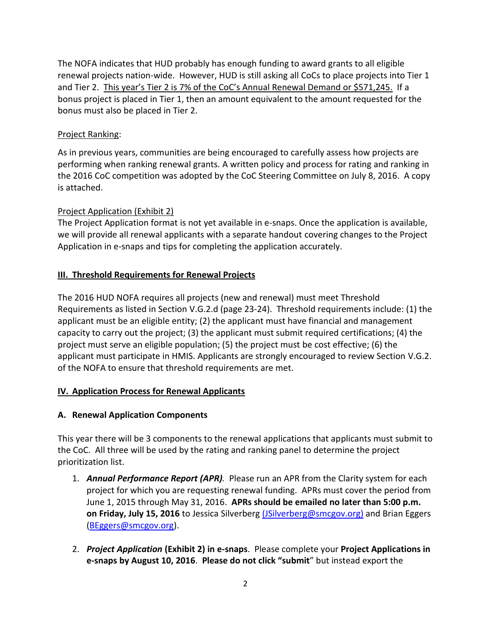The NOFA indicates that HUD probably has enough funding to award grants to all eligible renewal projects nation-wide. However, HUD is still asking all CoCs to place projects into Tier 1 and Tier 2. This year's Tier 2 is 7% of the CoC's Annual Renewal Demand or \$571,245. If a bonus project is placed in Tier 1, then an amount equivalent to the amount requested for the bonus must also be placed in Tier 2.

## Project Ranking:

As in previous years, communities are being encouraged to carefully assess how projects are performing when ranking renewal grants. A written policy and process for rating and ranking in the 2016 CoC competition was adopted by the CoC Steering Committee on July 8, 2016. A copy is attached.

### Project Application (Exhibit 2)

The Project Application format is not yet available in e-snaps. Once the application is available, we will provide all renewal applicants with a separate handout covering changes to the Project Application in e-snaps and tips for completing the application accurately.

### **III. Threshold Requirements for Renewal Projects**

The 2016 HUD NOFA requires all projects (new and renewal) must meet Threshold Requirements as listed in Section V.G.2.d (page 23-24). Threshold requirements include: (1) the applicant must be an eligible entity; (2) the applicant must have financial and management capacity to carry out the project; (3) the applicant must submit required certifications; (4) the project must serve an eligible population; (5) the project must be cost effective; (6) the applicant must participate in HMIS. Applicants are strongly encouraged to review Section V.G.2. of the NOFA to ensure that threshold requirements are met.

#### **IV. Application Process for Renewal Applicants**

# **A. Renewal Application Components**

This year there will be 3 components to the renewal applications that applicants must submit to the CoC. All three will be used by the rating and ranking panel to determine the project prioritization list.

- 1. *Annual Performance Report (APR).* Please run an APR from the Clarity system for each project for which you are requesting renewal funding. APRs must cover the period from June 1, 2015 through May 31, 2016. **APRs should be emailed no later than 5:00 p.m. on Friday, July 15, 2016** to Jessica Silverberg [\(JSilverberg@smcgov.org\)](mailto:(JSilverberg@smcgov.org)) and Brian Eggers [\(BEggers@smcgov.org\)](mailto:BEggers@smcgov.org).
- 2. *Project Application* **(Exhibit 2) in e-snaps**. Please complete your **Project Applications in e-snaps by August 10, 2016**. **Please do not click "submit**" but instead export the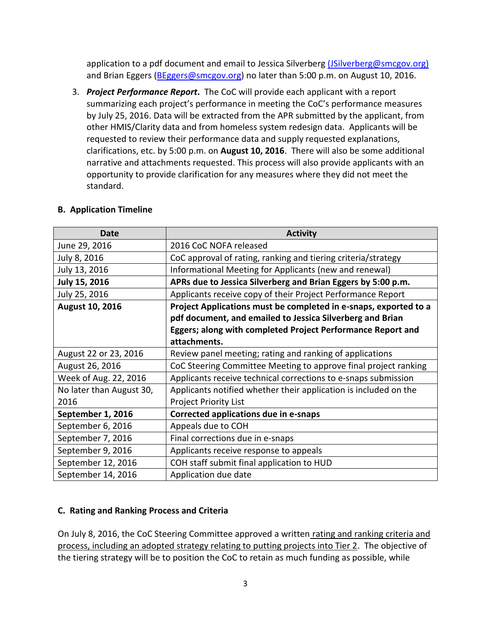application to a pdf document and email to Jessica Silverberg [\(JSilverberg@smcgov.org\)](mailto:(JSilverberg@smcgov.org)) and Brian Eggers [\(BEggers@smcgov.org\)](mailto:BEggers@smcgov.org) no later than 5:00 p.m. on August 10, 2016.

3. *Project Performance Report***.** The CoC will provide each applicant with a report summarizing each project's performance in meeting the CoC's performance measures by July 25, 2016. Data will be extracted from the APR submitted by the applicant, from other HMIS/Clarity data and from homeless system redesign data. Applicants will be requested to review their performance data and supply requested explanations, clarifications, etc. by 5:00 p.m. on **August 10, 2016**. There will also be some additional narrative and attachments requested. This process will also provide applicants with an opportunity to provide clarification for any measures where they did not meet the standard.

| <b>Date</b>              | <b>Activity</b>                                                  |
|--------------------------|------------------------------------------------------------------|
| June 29, 2016            | 2016 CoC NOFA released                                           |
| July 8, 2016             | CoC approval of rating, ranking and tiering criteria/strategy    |
| July 13, 2016            | Informational Meeting for Applicants (new and renewal)           |
| July 15, 2016            | APRs due to Jessica Silverberg and Brian Eggers by 5:00 p.m.     |
| July 25, 2016            | Applicants receive copy of their Project Performance Report      |
| <b>August 10, 2016</b>   | Project Applications must be completed in e-snaps, exported to a |
|                          | pdf document, and emailed to Jessica Silverberg and Brian        |
|                          | Eggers; along with completed Project Performance Report and      |
|                          | attachments.                                                     |
| August 22 or 23, 2016    | Review panel meeting; rating and ranking of applications         |
| August 26, 2016          | CoC Steering Committee Meeting to approve final project ranking  |
| Week of Aug. 22, 2016    | Applicants receive technical corrections to e-snaps submission   |
| No later than August 30, | Applicants notified whether their application is included on the |
| 2016                     | <b>Project Priority List</b>                                     |
| September 1, 2016        | Corrected applications due in e-snaps                            |
| September 6, 2016        | Appeals due to COH                                               |
| September 7, 2016        | Final corrections due in e-snaps                                 |
| September 9, 2016        | Applicants receive response to appeals                           |
| September 12, 2016       | COH staff submit final application to HUD                        |
| September 14, 2016       | Application due date                                             |

#### **B. Application Timeline**

#### **C. Rating and Ranking Process and Criteria**

On July 8, 2016, the CoC Steering Committee approved a written rating and ranking criteria and process, including an adopted strategy relating to putting projects into Tier 2. The objective of the tiering strategy will be to position the CoC to retain as much funding as possible, while